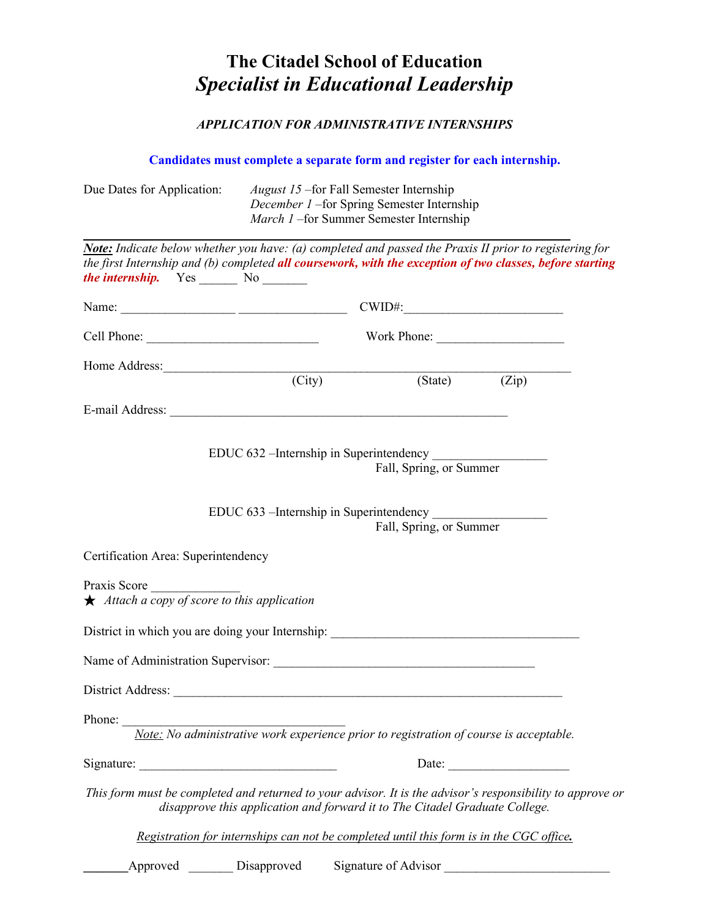## **The Citadel School of Education** *Specialist in Educational Leadership*

## *APPLICATION FOR ADMINISTRATIVE INTERNSHIPS*

**Candidates must complete a separate form and register for each internship.**

| Due Dates for Application:                                                                                                                                                                                                                                           | <i>August 15</i> – for Fall Semester Internship<br>December 1 - for Spring Semester Internship<br>March 1-for Summer Semester Internship |                                                                                         |                                         |       |  |  |  |
|----------------------------------------------------------------------------------------------------------------------------------------------------------------------------------------------------------------------------------------------------------------------|------------------------------------------------------------------------------------------------------------------------------------------|-----------------------------------------------------------------------------------------|-----------------------------------------|-------|--|--|--|
| Note: Indicate below whether you have: (a) completed and passed the Praxis II prior to registering for<br>the first Internship and (b) completed all coursework, with the exception of two classes, before starting<br><i>the internship.</i> Yes _______ No _______ |                                                                                                                                          |                                                                                         |                                         |       |  |  |  |
|                                                                                                                                                                                                                                                                      |                                                                                                                                          |                                                                                         |                                         |       |  |  |  |
|                                                                                                                                                                                                                                                                      |                                                                                                                                          |                                                                                         |                                         |       |  |  |  |
| Home Address: (City)                                                                                                                                                                                                                                                 |                                                                                                                                          |                                                                                         |                                         |       |  |  |  |
|                                                                                                                                                                                                                                                                      |                                                                                                                                          |                                                                                         | $\overline{(State)}$ $(\overline{Zip})$ |       |  |  |  |
|                                                                                                                                                                                                                                                                      |                                                                                                                                          |                                                                                         |                                         |       |  |  |  |
|                                                                                                                                                                                                                                                                      |                                                                                                                                          | Fall, Spring, or Summer                                                                 |                                         |       |  |  |  |
|                                                                                                                                                                                                                                                                      |                                                                                                                                          | EDUC 633 – Internship in Superintendency<br>Fall, Spring, or Summer                     |                                         |       |  |  |  |
| Certification Area: Superintendency                                                                                                                                                                                                                                  |                                                                                                                                          |                                                                                         |                                         |       |  |  |  |
| Praxis Score<br>$\star$ Attach a copy of score to this application                                                                                                                                                                                                   |                                                                                                                                          |                                                                                         |                                         |       |  |  |  |
| District in which you are doing your Internship: ________________________________                                                                                                                                                                                    |                                                                                                                                          |                                                                                         |                                         |       |  |  |  |
|                                                                                                                                                                                                                                                                      |                                                                                                                                          |                                                                                         |                                         |       |  |  |  |
| District Address:                                                                                                                                                                                                                                                    |                                                                                                                                          |                                                                                         |                                         |       |  |  |  |
| Phone:                                                                                                                                                                                                                                                               |                                                                                                                                          | Note: No administrative work experience prior to registration of course is acceptable.  |                                         |       |  |  |  |
|                                                                                                                                                                                                                                                                      |                                                                                                                                          |                                                                                         |                                         | Date: |  |  |  |
| This form must be completed and returned to your advisor. It is the advisor's responsibility to approve or                                                                                                                                                           |                                                                                                                                          | disapprove this application and forward it to The Citadel Graduate College.             |                                         |       |  |  |  |
|                                                                                                                                                                                                                                                                      |                                                                                                                                          | Registration for internships can not be completed until this form is in the CGC office. |                                         |       |  |  |  |
| Approved                                                                                                                                                                                                                                                             | Disapproved                                                                                                                              | Signature of Advisor                                                                    |                                         |       |  |  |  |